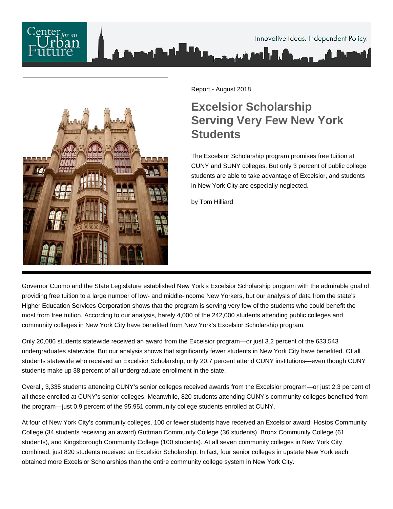# Innovative Ideas. Independent Policy.



Report - August 2018

# **Excelsior Scholarship Serving Very Few New York Students**

The Excelsior Scholarship program promises free tuition at CUNY and SUNY colleges. But only 3 percent of public college students are able to take advantage of Excelsior, and students in New York City are especially neglected.

by Tom Hilliard

Governor Cuomo and the State Legislature established New York's Excelsior Scholarship program with the admirable goal of providing free tuition to a large number of low- and middle-income New Yorkers, but our analysis of data from the state's Higher Education Services Corporation shows that the program is serving very few of the students who could benefit the most from free tuition. According to our analysis, barely 4,000 of the 242,000 students attending public colleges and community colleges in New York City have benefited from New York's Excelsior Scholarship program.

Only 20,086 students statewide received an award from the Excelsior program—or just 3.2 percent of the 633,543 undergraduates statewide. But our analysis shows that significantly fewer students in New York City have benefited. Of all students statewide who received an Excelsior Scholarship, only 20.7 percent attend CUNY institutions—even though CUNY students make up 38 percent of all undergraduate enrollment in the state.

Overall, 3,335 students attending CUNY's senior colleges received awards from the Excelsior program—or just 2.3 percent of all those enrolled at CUNY's senior colleges. Meanwhile, 820 students attending CUNY's community colleges benefited from the program—just 0.9 percent of the 95,951 community college students enrolled at CUNY.

At four of New York City's community colleges, 100 or fewer students have received an Excelsior award: Hostos Community College (34 students receiving an award) Guttman Community College (36 students), Bronx Community College (61 students), and Kingsborough Community College (100 students). At all seven community colleges in New York City combined, just 820 students received an Excelsior Scholarship. In fact, four senior colleges in upstate New York each obtained more Excelsior Scholarships than the entire community college system in New York City.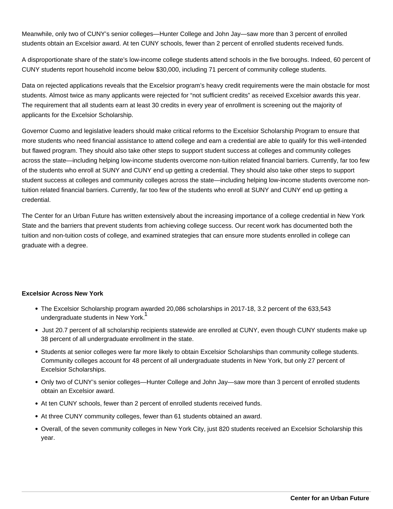Meanwhile, only two of CUNY's senior colleges—Hunter College and John Jay—saw more than 3 percent of enrolled students obtain an Excelsior award. At ten CUNY schools, fewer than 2 percent of enrolled students received funds.

A disproportionate share of the state's low-income college students attend schools in the five boroughs. Indeed, 60 percent of CUNY students report household income below \$30,000, including 71 percent of community college students.

Data on rejected applications reveals that the Excelsior program's heavy credit requirements were the main obstacle for most students. Almost twice as many applicants were rejected for "not sufficient credits" as received Excelsior awards this year. The requirement that all students earn at least 30 credits in every year of enrollment is screening out the majority of applicants for the Excelsior Scholarship.

Governor Cuomo and legislative leaders should make critical reforms to the Excelsior Scholarship Program to ensure that more students who need financial assistance to attend college and earn a credential are able to qualify for this well-intended but flawed program. They should also take other steps to support student success at colleges and community colleges across the state—including helping low-income students overcome non-tuition related financial barriers. Currently, far too few of the students who enroll at SUNY and CUNY end up getting a credential. They should also take other steps to support student success at colleges and community colleges across the state—including helping low-income students overcome nontuition related financial barriers. Currently, far too few of the students who enroll at SUNY and CUNY end up getting a credential.

The Center for an Urban Future has written extensively about the increasing importance of a college credential in New York State and the barriers that prevent students from achieving college success. Our recent work has documented both the tuition and non-tuition costs of college, and examined strategies that can ensure more students enrolled in college can graduate with a degree.

#### **Excelsior Across New York**

- The Excelsior Scholarship program awarded 20,086 scholarships in 2017-18, 3.2 percent of the 633,543 undergraduate students in New York.<sup>1</sup>
- Just 20.7 percent of all scholarship recipients statewide are enrolled at CUNY, even though CUNY students make up 38 percent of all undergraduate enrollment in the state.
- Students at senior colleges were far more likely to obtain Excelsior Scholarships than community college students. Community colleges account for 48 percent of all undergraduate students in New York, but only 27 percent of Excelsior Scholarships.
- Only two of CUNY's senior colleges—Hunter College and John Jay—saw more than 3 percent of enrolled students obtain an Excelsior award.
- At ten CUNY schools, fewer than 2 percent of enrolled students received funds.
- At three CUNY community colleges, fewer than 61 students obtained an award.
- Overall, of the seven community colleges in New York City, just 820 students received an Excelsior Scholarship this year.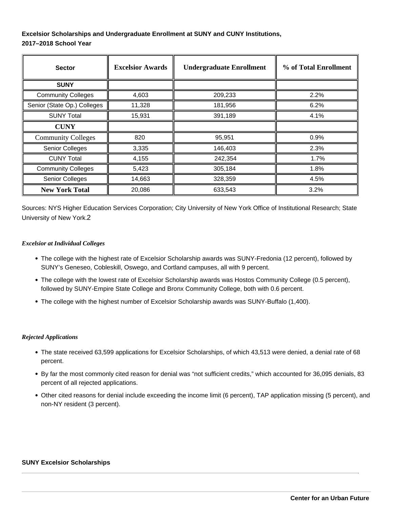### **Excelsior Scholarships and Undergraduate Enrollment at SUNY and CUNY Institutions, 2017–2018 School Year**

| <b>Sector</b>               | <b>Excelsior Awards</b> | <b>Undergraduate Enrollment</b> | % of Total Enrollment |
|-----------------------------|-------------------------|---------------------------------|-----------------------|
| <b>SUNY</b>                 |                         |                                 |                       |
| <b>Community Colleges</b>   | 4,603                   | 209,233                         | 2.2%                  |
| Senior (State Op.) Colleges | 11,328                  | 181,956                         | 6.2%                  |
| <b>SUNY Total</b>           | 15,931                  | 391,189                         | 4.1%                  |
| <b>CUNY</b>                 |                         |                                 |                       |
| <b>Community Colleges</b>   | 820                     | 95,951                          | 0.9%                  |
| Senior Colleges             | 3,335                   | 146,403                         | 2.3%                  |
| <b>CUNY Total</b>           | 4,155                   | 242,354                         | 1.7%                  |
| <b>Community Colleges</b>   | 5,423                   | 305,184                         | 1.8%                  |
| <b>Senior Colleges</b>      | 14,663                  | 328,359                         | 4.5%                  |
| <b>New York Total</b>       | 20,086                  | 633,543                         | 3.2%                  |

Sources: NYS Higher Education Services Corporation; City University of New York Office of Institutional Research; State University of New York.2

#### *Excelsior at Individual Colleges*

- The college with the highest rate of Excelsior Scholarship awards was SUNY-Fredonia (12 percent), followed by SUNY's Geneseo, Cobleskill, Oswego, and Cortland campuses, all with 9 percent.
- The college with the lowest rate of Excelsior Scholarship awards was Hostos Community College (0.5 percent), followed by SUNY-Empire State College and Bronx Community College, both with 0.6 percent.
- The college with the highest number of Excelsior Scholarship awards was SUNY-Buffalo (1,400).

#### *Rejected Applications*

- The state received 63,599 applications for Excelsior Scholarships, of which 43,513 were denied, a denial rate of 68 percent.
- By far the most commonly cited reason for denial was "not sufficient credits," which accounted for 36,095 denials, 83 percent of all rejected applications.
- Other cited reasons for denial include exceeding the income limit (6 percent), TAP application missing (5 percent), and non-NY resident (3 percent).

#### **SUNY Excelsior Scholarships**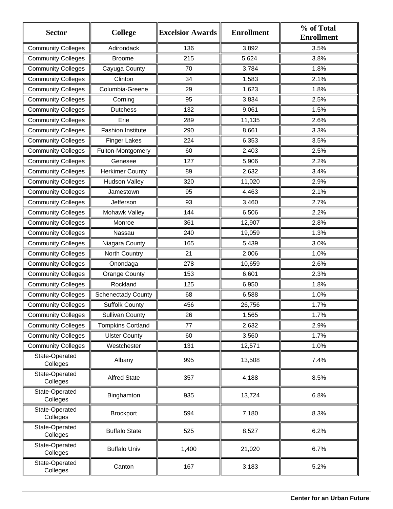| <b>Sector</b>              | <b>College</b>            | <b>Excelsior Awards</b> | <b>Enrollment</b> | % of Total<br><b>Enrollment</b> |
|----------------------------|---------------------------|-------------------------|-------------------|---------------------------------|
| <b>Community Colleges</b>  | Adirondack                | 136                     | 3,892             | 3.5%                            |
| <b>Community Colleges</b>  | <b>Broome</b>             | 215                     | 5,624             | 3.8%                            |
| <b>Community Colleges</b>  | Cayuga County             | 70                      | 3,784             | 1.8%                            |
| <b>Community Colleges</b>  | Clinton                   | 34                      | 1,583             | 2.1%                            |
| <b>Community Colleges</b>  | Columbia-Greene           | 29                      | 1,623             | 1.8%                            |
| <b>Community Colleges</b>  | Corning                   | 95                      | 3,834             | 2.5%                            |
| <b>Community Colleges</b>  | <b>Dutchess</b>           | 132                     | 9,061             | 1.5%                            |
| <b>Community Colleges</b>  | Erie                      | 289                     | 11,135            | 2.6%                            |
| <b>Community Colleges</b>  | <b>Fashion Institute</b>  | 290                     | 8,661             | 3.3%                            |
| <b>Community Colleges</b>  | <b>Finger Lakes</b>       | 224                     | 6,353             | 3.5%                            |
| <b>Community Colleges</b>  | Fulton-Montgomery         | 60                      | 2,403             | 2.5%                            |
| <b>Community Colleges</b>  | Genesee                   | 127                     | 5,906             | 2.2%                            |
| <b>Community Colleges</b>  | <b>Herkimer County</b>    | 89                      | 2,632             | 3.4%                            |
| <b>Community Colleges</b>  | <b>Hudson Valley</b>      | 320                     | 11,020            | 2.9%                            |
| <b>Community Colleges</b>  | Jamestown                 | 95                      | 4,463             | 2.1%                            |
| <b>Community Colleges</b>  | Jefferson                 | 93                      | 3,460             | 2.7%                            |
| <b>Community Colleges</b>  | Mohawk Valley             | 144                     | 6,506             | 2.2%                            |
| <b>Community Colleges</b>  | Monroe                    | 361                     | 12,907            | 2.8%                            |
| <b>Community Colleges</b>  | Nassau                    | 240                     | 19,059            | 1.3%                            |
| <b>Community Colleges</b>  | Niagara County            | 165                     | 5,439             | 3.0%                            |
| <b>Community Colleges</b>  | North Country             | 21                      | 2,006             | 1.0%                            |
| <b>Community Colleges</b>  | Onondaga                  | 278                     | 10,659            | 2.6%                            |
| <b>Community Colleges</b>  | <b>Orange County</b>      | 153                     | 6,601             | 2.3%                            |
| <b>Community Colleges</b>  | Rockland                  | 125                     | 6,950             | 1.8%                            |
| <b>Community Colleges</b>  | <b>Schenectady County</b> | 68                      | 6,588             | 1.0%                            |
| <b>Community Colleges</b>  | <b>Suffolk County</b>     | 456                     | 26,756            | 1.7%                            |
| <b>Community Colleges</b>  | <b>Sullivan County</b>    | 26                      | 1,565             | 1.7%                            |
| <b>Community Colleges</b>  | <b>Tompkins Cortland</b>  | 77                      | 2,632             | 2.9%                            |
| <b>Community Colleges</b>  | <b>Ulster County</b>      | 60                      | 3,560             | 1.7%                            |
| <b>Community Colleges</b>  | Westchester               | 131                     | 12,571            | 1.0%                            |
| State-Operated<br>Colleges | Albany                    | 995                     | 13,508            | 7.4%                            |
| State-Operated<br>Colleges | <b>Alfred State</b>       | 357                     | 4,188             | 8.5%                            |
| State-Operated<br>Colleges | Binghamton                | 935                     | 13,724            | 6.8%                            |
| State-Operated<br>Colleges | <b>Brockport</b>          | 594                     | 7,180             | 8.3%                            |
| State-Operated<br>Colleges | <b>Buffalo State</b>      | 525                     | 8,527             | 6.2%                            |
| State-Operated<br>Colleges | <b>Buffalo Univ</b>       | 1,400                   | 21,020            | 6.7%                            |
| State-Operated<br>Colleges | Canton                    | 167                     | 3,183             | 5.2%                            |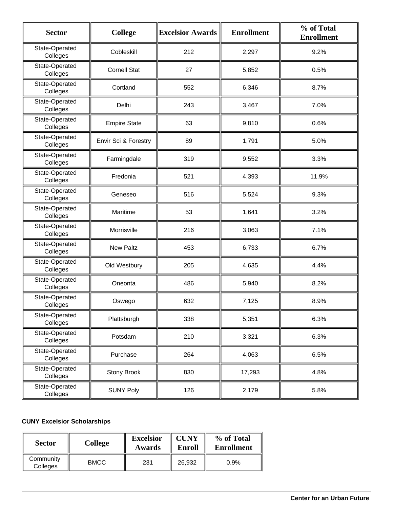| <b>Sector</b>              | <b>College</b>       | <b>Excelsior Awards</b> | <b>Enrollment</b> | % of Total<br><b>Enrollment</b> |
|----------------------------|----------------------|-------------------------|-------------------|---------------------------------|
| State-Operated<br>Colleges | Cobleskill           | 212                     | 2,297             | 9.2%                            |
| State-Operated<br>Colleges | <b>Cornell Stat</b>  | 27                      | 5,852             | 0.5%                            |
| State-Operated<br>Colleges | Cortland             | 552                     | 6,346             | 8.7%                            |
| State-Operated<br>Colleges | Delhi                | 243                     | 3,467             | 7.0%                            |
| State-Operated<br>Colleges | <b>Empire State</b>  | 63                      | 9,810             | 0.6%                            |
| State-Operated<br>Colleges | Envir Sci & Forestry | 89                      | 1,791             | 5.0%                            |
| State-Operated<br>Colleges | Farmingdale          | 319                     | 9,552             | 3.3%                            |
| State-Operated<br>Colleges | Fredonia             | 521                     | 4,393             | 11.9%                           |
| State-Operated<br>Colleges | Geneseo              | 516                     | 5,524             | 9.3%                            |
| State-Operated<br>Colleges | Maritime             | 53                      | 1,641             | 3.2%                            |
| State-Operated<br>Colleges | Morrisville          | 216                     | 3,063             | 7.1%                            |
| State-Operated<br>Colleges | <b>New Paltz</b>     | 453                     | 6,733             | 6.7%                            |
| State-Operated<br>Colleges | Old Westbury         | 205                     | 4,635             | 4.4%                            |
| State-Operated<br>Colleges | Oneonta              | 486                     | 5,940             | 8.2%                            |
| State-Operated<br>Colleges | Oswego               | 632                     | 7,125             | 8.9%                            |
| State-Operated<br>Colleges | Plattsburgh          | 338                     | 5,351             | 6.3%                            |
| State-Operated<br>Colleges | Potsdam              | 210                     | 3,321             | 6.3%                            |
| State-Operated<br>Colleges | Purchase             | 264                     | 4,063             | 6.5%                            |
| State-Operated<br>Colleges | <b>Stony Brook</b>   | 830                     | 17,293            | 4.8%                            |
| State-Operated<br>Colleges | <b>SUNY Poly</b>     | 126                     | 2,179             | 5.8%                            |

## **CUNY Excelsior Scholarships**

| <b>Sector</b>         | <b>College</b> | <b>Excelsior</b><br>Awards | <b>CUNY</b><br><b>Enroll</b> | % of Total<br>Enrollment |
|-----------------------|----------------|----------------------------|------------------------------|--------------------------|
| Community<br>Colleges | <b>BMCC</b>    | 231                        | 26.932                       | 0.9%                     |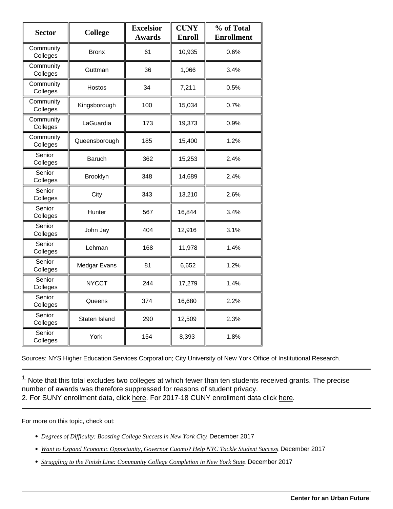| Sector                | College       | <b>Excelsior</b><br>Awards | <b>CUNY</b><br>Enroll | % of Total<br>Enrollment |
|-----------------------|---------------|----------------------------|-----------------------|--------------------------|
| Community<br>Colleges | <b>Bronx</b>  | 61                         | 10,935                | 0.6%                     |
| Community<br>Colleges | Guttman       | 36                         | 1,066                 | 3.4%                     |
| Community<br>Colleges | Hostos        | 34                         | 7,211                 | 0.5%                     |
| Community<br>Colleges | Kingsborough  | 100                        | 15,034                | 0.7%                     |
| Community<br>Colleges | LaGuardia     | 173                        | 19,373                | 0.9%                     |
| Community<br>Colleges | Queensborough | 185                        | 15,400                | 1.2%                     |
| Senior<br>Colleges    | <b>Baruch</b> | 362                        | 15,253                | 2.4%                     |
| Senior<br>Colleges    | Brooklyn      | 348                        | 14,689                | 2.4%                     |
| Senior<br>Colleges    | City          | 343                        | 13,210                | 2.6%                     |
| Senior<br>Colleges    | Hunter        | 567                        | 16,844                | 3.4%                     |
| Senior<br>Colleges    | John Jay      | 404                        | 12,916                | 3.1%                     |
| Senior<br>Colleges    | Lehman        | 168                        | 11,978                | 1.4%                     |
| Senior<br>Colleges    | Medgar Evans  | 81                         | 6,652                 | 1.2%                     |
| Senior<br>Colleges    | <b>NYCCT</b>  | 244                        | 17,279                | 1.4%                     |
| Senior<br>Colleges    | Queens        | 374                        | 16,680                | 2.2%                     |
| Senior<br>Colleges    | Staten Island | 290                        | 12,509                | 2.3%                     |
| Senior<br>Colleges    | York          | 154                        | 8,393                 | 1.8%                     |

Sources: NYS Higher Education Services Corporation; City University of New York Office of Institutional Research.

 $1.$  Note that this total excludes two colleges at which fewer than ten students received grants. The precise number of awards was therefore suppressed for reasons of student privacy. 2. For SUNY enrollment data, click [here.](https://data.ny.gov/Education/State-University-of-New-York-SUNY-Campus-Locations/3cij-nwhw) For 2017-18 CUNY enrollment data click [here](http://see https://www.cuny.edu/irdatabook/rpts2_AY_current/ENRL_0001_UGGR_FTPT.rpt.pdf).

For more on this topic, check out:

- [Degrees of Difficulty: Boosting College Success in New Yor](https://nycfuture.org/research/degrees-of-difficulty)k Detgember 2017
- [Want to Expand Economic Opportunity, Governor Cuomo? Help NYC Tackle Student](https://nycfuture.org/research/op-ed-want-to-expand-economic-opportunity-governor-cuomo), Succersber 2017
- [Struggling to the Finish Line: Community College Completion in New York](https://nycfuture.org/research/community-college-completion-in-new-york) Beatember 2017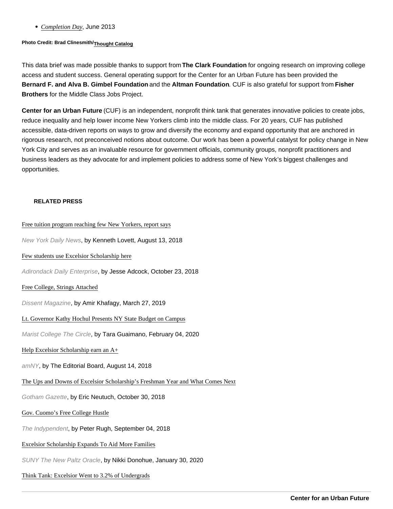#### • [Completion Da](https://nycfuture.org/research/completion-day)yJune 2013

Photo Credit: Brad Clinesmith/ [Thought Catalog](https://www.thoughtco.com/hunter-college-admissions-787643)

This data brief was made possible thanks to support from The Clark Foundation for ongoing research on improving college access and student success. General operating support for the Center for an Urban Future has been provided the Bernard F. and Alva B. Gimbel Foundation and the Altman Foundation . CUF is also grateful for support from Fisher Brothers for the Middle Class Jobs Project.

Center for an Urban Future (CUF) is an independent, nonprofit think tank that generates innovative policies to create jobs, reduce inequality and help lower income New Yorkers climb into the middle class. For 20 years, CUF has published accessible, data-driven reports on ways to grow and diversify the economy and expand opportunity that are anchored in rigorous research, not preconceived notions about outcome. Our work has been a powerful catalyst for policy change in New York City and serves as an invaluable resource for government officials, community groups, nonprofit practitioners and business leaders as they advocate for and implement policies to address some of New York's biggest challenges and opportunities.

#### RELATED PRESS

#### [Free tuition program reaching few New Yorkers, report](http://www.nydailynews.com/news/politics/ny-pol-free-tuition-cuomo-nixon-center-for-an-urban-future-20180810-story.html#) says

New York Daily News, by Kenneth Lovett, August 13, 2018

#### [Few students use Excelsior Scholarship](http://www.adirondackdailyenterprise.com/news/local-news/2018/10/few-students-use-excelsior-scholarship-here/) here

Adirondack Daily Enterprise, by Jesse Adcock, October 23, 2018

#### [Free College, Strings Attach](https://www.dissentmagazine.org/online_articles/free-college-strings-attached)ed

Dissent Magazine, by Amir Khafagy, March 27, 2019

#### [Lt. Governor Kathy Hochul Presents NY State Budget on Ca](https://www.maristcircle.com/home/2020/2/4/lt-governor-kathy-hochul-presents-ny-state-budget-on-campus)mpus

Marist College The Circle, by Tara Guaimano, February 04, 2020

#### [Help Excelsior Scholarship earn an](https://www.amny.com/opinion/editorial/help-excelsior-scholarship-earn-an-a-1.20455688) A+

amNY, by The Editorial Board, August 14, 2018

#### [The Ups and Downs of Excelsior Scholarship's Freshman Year and What Com](http://www.gothamgazette.com/opinion/8025-the-ups-and-downs-of-excelsior-scholarship-s-freshman-year-and-what-comes-next)es Next

Gotham Gazette, by Eric Neutuch, October 30, 2018

#### [Gov. Cuomo's Free College Hus](https://indypendent.org/2018/09/gov-cuomos-free-college-hustle/)tle

The Indypendent, by Peter Rugh, September 04, 2018

#### [Excelsior Scholarship Expands To Aid More Fam](https://oracle.newpaltz.edu/excelsior-scholarship-expands-to-aid-more-families/)ilies

SUNY The New Paltz Oracle, by Nikki Donohue, January 30, 2020

#### [Think Tank: Excelsior Went to 3.2% of Undergr](https://www.insidehighered.com/quicktakes/2018/08/13/think-tank-excelsior-went-32-undergrads)ads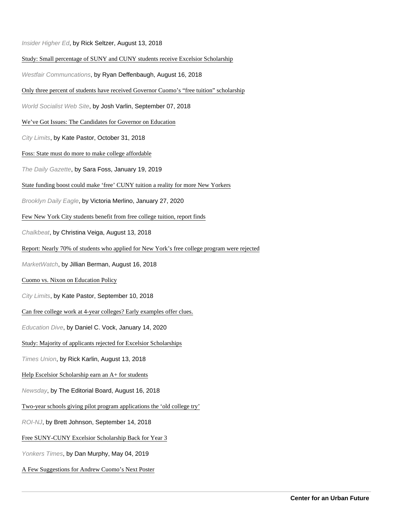Insider Higher Ed, by Rick Seltzer, August 13, 2018

#### [Study: Small percentage of SUNY and CUNY students receive Excelsior Scho](https://westfaironline.com/105740/study-small-percentage-of-suny-and-cuny-students-receive-excelsior-scholarship/)larship

Westfair Communcations, by Ryan Deffenbaugh, August 16, 2018

#### [Only three percent of students have received Governor Cuomo's "free tuition" scho](https://www.wsws.org/en/articles/2018/09/06/suny-s06.html)larship

World Socialist Web Site, by Josh Varlin, September 07, 2018

[We've Got Issues: The Candidates for Governor on Educ](https://citylimits.org/2018/10/31/weve-got-issues-the-candidates-for-governor-on-education/)ation

City Limits, by Kate Pastor, October 31, 2018

[Foss: State must do more to make college afford](https://dailygazette.com/article/2019/01/19/foss-state-must-do-more-to-make-college-affordable)able

The Daily Gazette, by Sara Foss, January 19, 2019

#### [State funding boost could make 'free' CUNY tuition a reality for more New Yo](https://brooklyneagle.com/articles/2020/01/27/state-funding-boost-could-make-free-cuny-tuition-a-reality-for-more-new-yorkers/)rkers

Brooklyn Daily Eagle, by Victoria Merlino, January 27, 2020

[Few New York City students benefit from free college tuition, report](https://www.chalkbeat.org/posts/ny/2018/08/10/few-new-york-city-students-benefit-from-free-college-tuition-report-finds/) finds

Chalkbeat, by Christina Veiga, August 13, 2018

#### [Report: Nearly 70% of students who applied for New York's free college program were r](https://www.marketwatch.com/story/report-nearly-70-of-students-who-applied-for-new-yorks-free-college-program-were-rejected-2018-08-16)ejected

MarketWatch, by Jillian Berman, August 16, 2018

#### [Cuomo vs. Nixon on Education Pol](https://citylimits.org/2018/09/10/cuomo-vs-nixon-on-education-policy/)icy

City Limits, by Kate Pastor, September 10, 2018

[Can free college work at 4-year colleges? Early examples offer](https://www.educationdive.com/news/state-universities-add-need-based-aid-with-lessons-for-free-college-push/570423/) clues.

Education Dive, by Daniel C. Vock, January 14, 2020

[Study: Majority of applicants rejected for Excelsior Scholars](https://www.timesunion.com/news/article/Study-finds-lots-of-applicants-rejected-for-13147401.php)hips

Times Union, by Rick Karlin, August 13, 2018

[Help Escelsior Scholarship earn an A+ for stud](https://www.newsday.com/opinion/editorial/help-escelsior-scholarship-earn-an-a-for-students-1.20489312)ents

Newsday, by The Editorial Board, August 16, 2018

[Two-year schools giving pilot program applications the 'old college](http://www.roi-nj.com/2018/09/10/education/two-year-schools-giving-pilot-program-applications-the-old-college-try/) try'

ROI-NJ, by Brett Johnson, September 14, 2018

[Free SUNY-CUNY Excelsior Scholarship Back for Ye](http://yonkerstimes.com/free-suny-cuny-excelsior-scholarship-back-for-year-3/)ar 3

Yonkers Times, by Dan Murphy, May 04, 2019

[A Few Suggestions for Andrew Cuomo's Next Po](http://nymag.com/intelligencer/2020/01/andrew-cuomos-artwork-needs-some-help.html)ster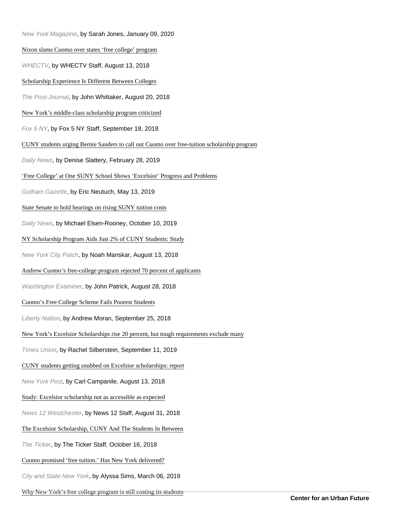New York Magazine, by Sarah Jones, January 09, 2020

#### [Nixon slams Cuomo over states 'free college' prog](https://www.whec.com/news/free-college-program-/5025925/)ram

WHECTV, by WHECTV Staff, August 13, 2018

[Scholarship Experience Is Different Between Colle](http://www.post-journal.com/news/page-one/2018/08/scholarship-experience-is-different-between-colleges/)ges

The Post-Journal, by John Whittaker, August 20, 2018

[New York's middle-class scholarship program critici](http://www.fox5ny.com/news/ny-scholarship-program-criticized)zed

Fox 5 NY, by Fox 5 NY Staff, September 18, 2018

[CUNY students urging Bernie Sanders to call out Cuomo over free-tuition scholarship p](https://www.nydailynews.com/news/politics/ny-pol-cuny-students-call-on-bernie-sander-cuomo-free-college-20190228-story.html)rogram

Daily News, by Denise Slattery, February 28, 2019

['Free College' at One SUNY School Shows 'Excelsior' Progress and Pro](http://www.gothamgazette.com/opinion/8517-free-college-at-one-suny-school-shows-excelsior-progress-and-problems)blems

Gotham Gazette, by Eric Neutuch, May 13, 2019

[State Senate to hold hearings on rising SUNY tuition](https://www.nydailynews.com/new-york/education/ny-senate-debt-loan-suny-20191010-7c3tu6gwpfgchkke5jjcxlxhgm-story.html) costs

Daily News, by Michael Elsen-Rooney, October 10, 2019

[NY Scholarship Program Aids Just 2% of CUNY Students: S](https://patch.com/new-york/new-york-city/ny-scholarship-program-aids-just-2-cuny-students-study)tudy

New York City Patch, by Noah Manskar, August 13, 2018

[Andrew Cuomo's free-college program rejected 70 percent of appl](https://www.washingtonexaminer.com/red-alert-politics/andrew-cuomos-free-college-program-rejected-70-percent-of-applicants)icants

Washington Examiner, by John Patrick, August 28, 2018

[Cuomo's Free College Scheme Fails Poorest Stu](https://www.libertynation.com/cuomos-free-college-scheme-fails-poorest-students/)dents

Liberty Nation, by Andrew Moran, September 25, 2018

[New York's Excelsior Scholarships rise 20 percent, but tough requirements exclud](https://www.timesunion.com/news/article/Excelsior-Scholarships-rise-20-percent-but-tough-14431051.php)e many

Times Union, by Rachel Silberstein, September 11, 2019

[CUNY students getting snubbed on Excelsior scholarships:](https://nypost.com/2018/08/10/cuny-students-getting-snubbed-on-excelsior-scholarships-report/) report

New York Post, by Carl Campanile, August 13, 2018

[Study: Excelsior scholarship not as accessible as exp](http://westchester.news12.com/story/38998639/study-excelsior-scholarship-not-as-accessible-as-expected)ected

News 12 Westchester, by News 12 Staff, August 31, 2018

[The Excelsior Scholarship, CUNY And The Students In Betw](http://theticker.org/the-excelsior-scholarship-cuny-and-the-students-in-between)een

The Ticker, by The Ticker Staff, October 16, 2018

[Cuomo promised 'free tuition.' Has New York deliver](https://www.cityandstateny.com/articles/policy/education/cuomo-promised-free-tuition-in-new-york.html)ed?

City and State New York, by Alyssa Sims, March 06, 2019

[Why New York's free college program is still costing its stud](https://www.vox.com/the-highlight/2020/2/5/21113890/new-york-free-college-excelsior-tuition)ents